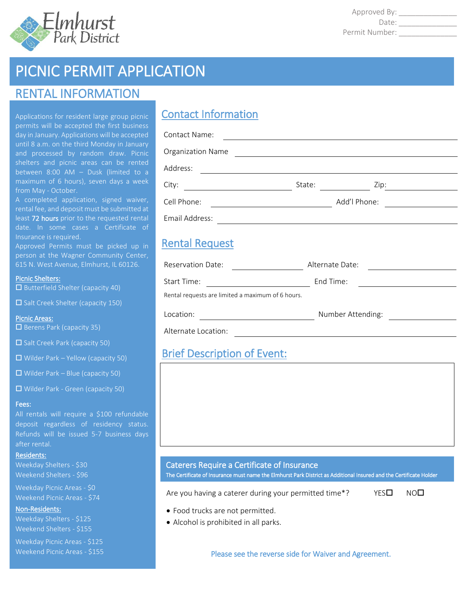

Approved By: \_\_\_\_\_\_\_\_\_\_\_\_\_\_ Date: Permit Number: \_\_\_\_\_\_\_\_\_\_\_\_\_\_

# PICNIC PERMIT APPLICATION

# RENTAL INFORMATION

Applications for resident large group picnic permits will be accepted the first business day in January. Applications will be accepted until 8 a.m. on the third Monday in January between 8:00 AM – Dusk (limited to a maximum of 6 hours), seven days a week from May - October.

A completed application, signed waiver, rental fee, and deposit must be submitted at least 72 hours prior to the requested rental date. In some cases a Certificate of Insurance is required.

Approved Permits must be picked up in person at the Wagner Community Center, 615 N. West Avenue, Elmhurst, IL 60126.

#### Picnic Shelters:

 $\square$  Butterfield Shelter (capacity 40)

 $\square$  Salt Creek Shelter (capacity 150)

### Picnic Areas:

 $\Box$  Berens Park (capacity 35)

 $\square$  Salt Creek Park (capacity 50)

 $\Box$  Wilder Park – Yellow (capacity 50)

 $\Box$  Wilder Park – Blue (capacity 50)

Wilder Park - Green (capacity 50)

#### Fees:

All rentals will require a \$100 refundable deposit regardless of residency status. Refunds will be issued 5-7 business days after rental.

#### Residents:

Weekday Shelters - \$30 Weekend Shelters - \$96

Weekday Picnic Areas - \$0 Weekend Picnic Areas - \$74

#### Non-Residents:

Weekday Shelters - \$125 Weekend Shelters - \$155

Weekday Picnic Areas - \$125 Weekend Picnic Areas - \$155

# Contact Information

| Contact Name:         |        |              |  |
|-----------------------|--------|--------------|--|
| Organization Name     |        |              |  |
| Address:              |        |              |  |
| City:                 | State: | Zip:         |  |
| Cell Phone:           |        | Add'l Phone: |  |
| Email Address:        |        |              |  |
| <b>Rantal Raguast</b> |        |              |  |

### <u>Rental Request</u>

| Reservation Date:                                 | Alternate Date:   |
|---------------------------------------------------|-------------------|
| Start Time:                                       | End Time:         |
| Rental requests are limited a maximum of 6 hours. |                   |
| Location:                                         | Number Attending: |

Alternate Location:

# Brief Description of Event:

### Caterers Require a Certificate of Insurance

The Certificate of Insurance must name the Elmhurst Park District as Additional Insured and the Certificate Holder

Are you having a caterer during your permitted time\*?  $YES\Box$  NO $\Box$ 

- Food trucks are not permitted.
- Alcohol is prohibited in all parks.

Please see the reverse side for Waiver and Agreement.